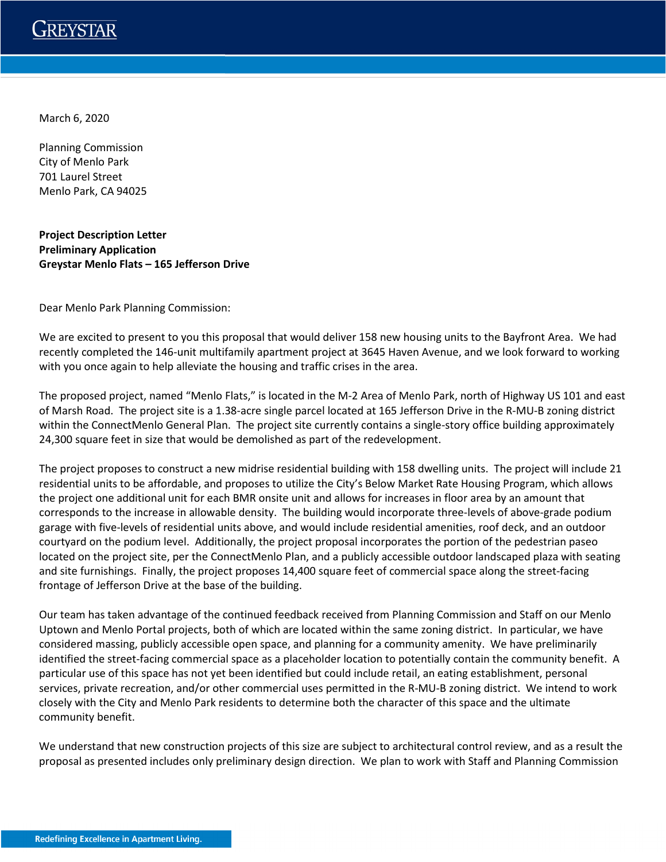

March 6, 2020

Planning Commission City of Menlo Park 701 Laurel Street Menlo Park, CA 94025

**Project Description Letter Preliminary Application Greystar Menlo Flats – 165 Jefferson Drive**

Dear Menlo Park Planning Commission:

We are excited to present to you this proposal that would deliver 158 new housing units to the Bayfront Area. We had recently completed the 146-unit multifamily apartment project at 3645 Haven Avenue, and we look forward to working with you once again to help alleviate the housing and traffic crises in the area.

The proposed project, named "Menlo Flats," is located in the M-2 Area of Menlo Park, north of Highway US 101 and east of Marsh Road. The project site is a 1.38-acre single parcel located at 165 Jefferson Drive in the R-MU-B zoning district within the ConnectMenlo General Plan. The project site currently contains a single-story office building approximately 24,300 square feet in size that would be demolished as part of the redevelopment.

The project proposes to construct a new midrise residential building with 158 dwelling units. The project will include 21 residential units to be affordable, and proposes to utilize the City's Below Market Rate Housing Program, which allows the project one additional unit for each BMR onsite unit and allows for increases in floor area by an amount that corresponds to the increase in allowable density. The building would incorporate three-levels of above-grade podium garage with five-levels of residential units above, and would include residential amenities, roof deck, and an outdoor courtyard on the podium level. Additionally, the project proposal incorporates the portion of the pedestrian paseo located on the project site, per the ConnectMenlo Plan, and a publicly accessible outdoor landscaped plaza with seating and site furnishings. Finally, the project proposes 14,400 square feet of commercial space along the street-facing frontage of Jefferson Drive at the base of the building.

Our team has taken advantage of the continued feedback received from Planning Commission and Staff on our Menlo Uptown and Menlo Portal projects, both of which are located within the same zoning district. In particular, we have considered massing, publicly accessible open space, and planning for a community amenity. We have preliminarily identified the street-facing commercial space as a placeholder location to potentially contain the community benefit. A particular use of this space has not yet been identified but could include retail, an eating establishment, personal services, private recreation, and/or other commercial uses permitted in the R-MU-B zoning district. We intend to work closely with the City and Menlo Park residents to determine both the character of this space and the ultimate community benefit.

We understand that new construction projects of this size are subject to architectural control review, and as a result the proposal as presented includes only preliminary design direction. We plan to work with Staff and Planning Commission